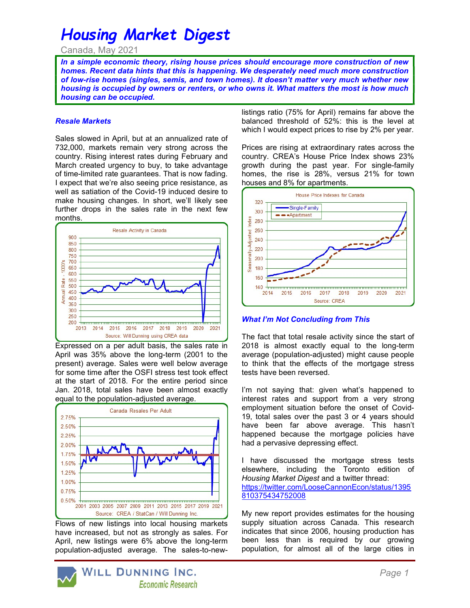# Housing Market Digest

Canada, May 2021

In a simple economic theory, rising house prices should encourage more construction of new homes. Recent data hints that this is happening. We desperately need much more construction of low-rise homes (singles, semis, and town homes). It doesn't matter very much whether new housing is occupied by owners or renters, or who owns it. What matters the most is how much housing can be occupied.

#### Resale Markets

Sales slowed in April, but at an annualized rate of 732,000, markets remain very strong across the country. Rising interest rates during February and March created urgency to buy, to take advantage of time-limited rate guarantees. That is now fading. I expect that we're also seeing price resistance, as well as satiation of the Covid-19 induced desire to make housing changes. In short, we'll likely see further drops in the sales rate in the next few months.



Expressed on a per adult basis, the sales rate in April was 35% above the long-term (2001 to the present) average. Sales were well below average for some time after the OSFI stress test took effect at the start of 2018. For the entire period since Jan. 2018, total sales have been almost exactly equal to the population-adjusted average.



Flows of new listings into local housing markets have increased, but not as strongly as sales. For April, new listings were 6% above the long-term population-adjusted average. The sales-to-newlistings ratio (75% for April) remains far above the balanced threshold of 52%: this is the level at which I would expect prices to rise by 2% per year.

Prices are rising at extraordinary rates across the country. CREA's House Price Index shows 23% growth during the past year. For single-family homes, the rise is 28%, versus 21% for town houses and 8% for apartments.



#### **What I'm Not Concluding from This**

The fact that total resale activity since the start of 2018 is almost exactly equal to the long-term average (population-adjusted) might cause people to think that the effects of the mortgage stress tests have been reversed.

I'm not saying that: given what's happened to interest rates and support from a very strong employment situation before the onset of Covid-19, total sales over the past 3 or 4 years should have been far above average. This hasn't happened because the mortgage policies have had a pervasive depressing effect.

I have discussed the mortgage stress tests elsewhere, including the Toronto edition of Housing Market Digest and a twitter thread: https://twitter.com/LooseCannonEcon/status/1395 810375434752008

My new report provides estimates for the housing supply situation across Canada. This research indicates that since 2006, housing production has been less than is required by our growing population, for almost all of the large cities in